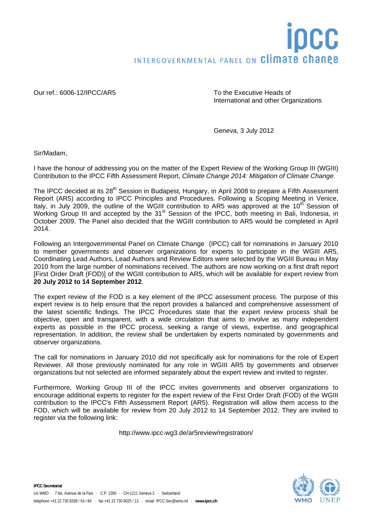## OCC INTERGOVERNMENTAL PANEL ON Climate change

Our ref.: 6006-12/IPCC/AR5 To the Executive Heads of

International and other Organizations

Geneva, 3 July 2012

Sir/Madam,

I have the honour of addressing you on the matter of the Expert Review of the Working Group III (WGIII) Contribution to the IPCC Fifth Assessment Report, *Climate Change 2014: Mitigation of Climate Change*.

The IPCC decided at its 28<sup>th</sup> Session in Budapest, Hungary, in April 2008 to prepare a Fifth Assessment Report (AR5) according to IPCC Principles and Procedures. Following a Scoping Meeting in Venice, Italy, in July 2009, the outline of the WGIII contribution to AR5 was approved at the 10<sup>th</sup> Session of Working Group III and accepted by the 31<sup>st</sup> Session of the IPCC, both meeting in Bali, Indonesia, in October 2009. The Panel also decided that the WGIII contribution to AR5 would be completed in April 2014.

Following an Intergovernmental Panel on Climate Change (IPCC) call for nominations in January 2010 to member governments and observer organizations for experts to participate in the WGIII AR5, Coordinating Lead Authors, Lead Authors and Review Editors were selected by the WGIII Bureau in May 2010 from the large number of nominations received. The authors are now working on a first draft report [First Order Draft (FOD)] of the WGIII contribution to AR5, which will be available for expert review from **20 July 2012 to 14 September 2012**.

The expert review of the FOD is a key element of the IPCC assessment process. The purpose of this expert review is to help ensure that the report provides a balanced and comprehensive assessment of the latest scientific findings. The IPCC Procedures state that the expert review process shall be objective, open and transparent, with a wide circulation that aims to involve as many independent experts as possible in the IPCC process, seeking a range of views, expertise, and geographical representation. In addition, the review shall be undertaken by experts nominated by governments and observer organizations.

The call for nominations in January 2010 did not specifically ask for nominations for the role of Expert Reviewer. All those previously nominated for any role in WGIII AR5 by governments and observer organizations but not selected are informed separately about the expert review and invited to register.

Furthermore, Working Group III of the IPCC invites governments and observer organizations to encourage additional experts to register for the expert review of the First Order Draft (FOD) of the WGIII contribution to the IPCC's Fifth Assessment Report (AR5). Registration will allow them access to the FOD, which will be available for review from 20 July 2012 to 14 September 2012. They are invited to register via the following link:

http://www.ipcc-wg3.de/ar5review/registration/